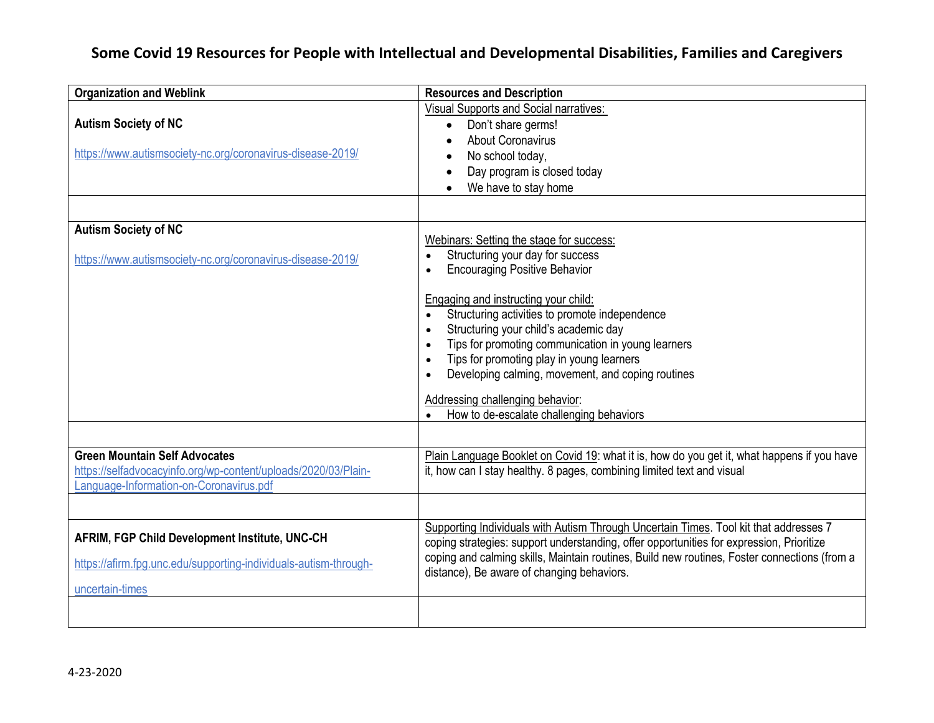## **Some Covid 19 Resources for People with Intellectual and Developmental Disabilities, Families and Caregivers**

| <b>Organization and Weblink</b>                                                                                                                   | <b>Resources and Description</b>                                                                                                                                                                                                                                                                                                                                                                                                                                                                                                                    |
|---------------------------------------------------------------------------------------------------------------------------------------------------|-----------------------------------------------------------------------------------------------------------------------------------------------------------------------------------------------------------------------------------------------------------------------------------------------------------------------------------------------------------------------------------------------------------------------------------------------------------------------------------------------------------------------------------------------------|
| <b>Autism Society of NC</b><br>https://www.autismsociety-nc.org/coronavirus-disease-2019/                                                         | Visual Supports and Social narratives:<br>Don't share germs!<br>$\bullet$<br><b>About Coronavirus</b><br>No school today,<br>Day program is closed today<br>We have to stay home                                                                                                                                                                                                                                                                                                                                                                    |
|                                                                                                                                                   |                                                                                                                                                                                                                                                                                                                                                                                                                                                                                                                                                     |
| <b>Autism Society of NC</b><br>https://www.autismsociety-nc.org/coronavirus-disease-2019/                                                         | Webinars: Setting the stage for success:<br>Structuring your day for success<br>$\bullet$<br><b>Encouraging Positive Behavior</b><br>$\bullet$<br>Engaging and instructing your child:<br>Structuring activities to promote independence<br>$\bullet$<br>Structuring your child's academic day<br>$\bullet$<br>Tips for promoting communication in young learners<br>Tips for promoting play in young learners<br>Developing calming, movement, and coping routines<br>Addressing challenging behavior:<br>How to de-escalate challenging behaviors |
| <b>Green Mountain Self Advocates</b><br>https://selfadvocacyinfo.org/wp-content/uploads/2020/03/Plain-<br>Language-Information-on-Coronavirus.pdf | Plain Language Booklet on Covid 19: what it is, how do you get it, what happens if you have<br>it, how can I stay healthy. 8 pages, combining limited text and visual                                                                                                                                                                                                                                                                                                                                                                               |
|                                                                                                                                                   |                                                                                                                                                                                                                                                                                                                                                                                                                                                                                                                                                     |
| AFRIM, FGP Child Development Institute, UNC-CH<br>https://afirm.fpg.unc.edu/supporting-individuals-autism-through-<br>uncertain-times             | Supporting Individuals with Autism Through Uncertain Times. Tool kit that addresses 7<br>coping strategies: support understanding, offer opportunities for expression, Prioritize<br>coping and calming skills, Maintain routines, Build new routines, Foster connections (from a<br>distance), Be aware of changing behaviors.                                                                                                                                                                                                                     |
|                                                                                                                                                   |                                                                                                                                                                                                                                                                                                                                                                                                                                                                                                                                                     |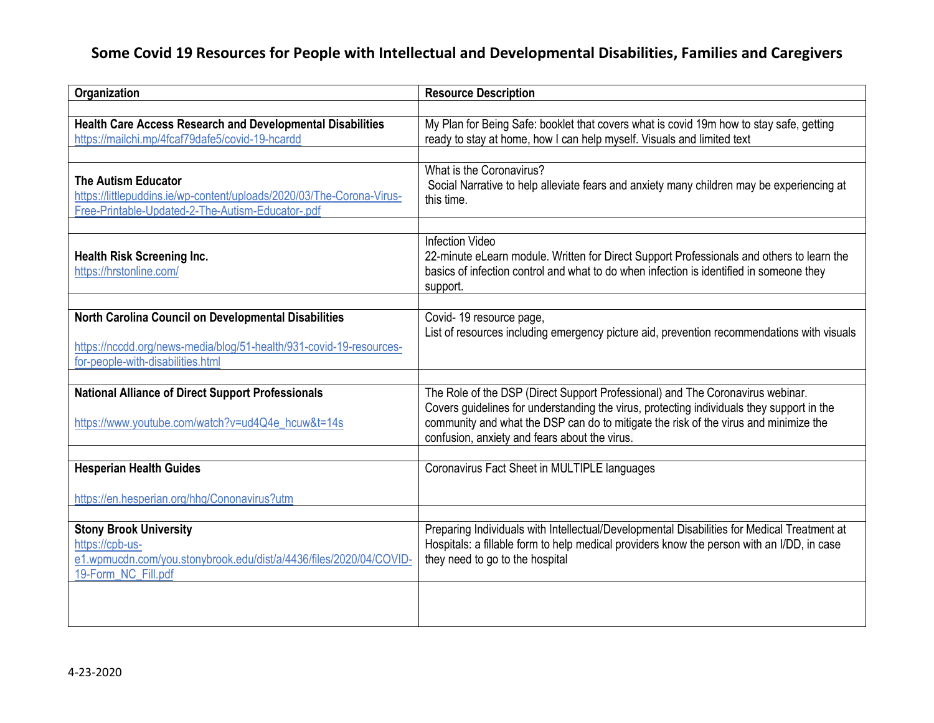## **Some Covid 19 Resources for People with Intellectual and Developmental Disabilities, Families and Caregivers**

| Organization                                                                                                                                                     | <b>Resource Description</b>                                                                                                                                                                                                                                                                                          |
|------------------------------------------------------------------------------------------------------------------------------------------------------------------|----------------------------------------------------------------------------------------------------------------------------------------------------------------------------------------------------------------------------------------------------------------------------------------------------------------------|
| <b>Health Care Access Research and Developmental Disabilities</b><br>https://mailchi.mp/4fcaf79dafe5/covid-19-hcardd                                             | My Plan for Being Safe: booklet that covers what is covid 19m how to stay safe, getting<br>ready to stay at home, how I can help myself. Visuals and limited text                                                                                                                                                    |
| <b>The Autism Educator</b><br>https://littlepuddins.ie/wp-content/uploads/2020/03/The-Corona-Virus-<br>Free-Printable-Updated-2-The-Autism-Educator-.pdf         | What is the Coronavirus?<br>Social Narrative to help alleviate fears and anxiety many children may be experiencing at<br>this time.                                                                                                                                                                                  |
| <b>Health Risk Screening Inc.</b><br>https://hrstonline.com/                                                                                                     | <b>Infection Video</b><br>22-minute eLearn module. Written for Direct Support Professionals and others to learn the<br>basics of infection control and what to do when infection is identified in someone they<br>support.                                                                                           |
| North Carolina Council on Developmental Disabilities<br>https://nccdd.org/news-media/blog/51-health/931-covid-19-resources-<br>for-people-with-disabilities.html | Covid-19 resource page,<br>List of resources including emergency picture aid, prevention recommendations with visuals                                                                                                                                                                                                |
| <b>National Alliance of Direct Support Professionals</b><br>https://www.youtube.com/watch?v=ud4Q4e_hcuw&t=14s                                                    | The Role of the DSP (Direct Support Professional) and The Coronavirus webinar.<br>Covers guidelines for understanding the virus, protecting individuals they support in the<br>community and what the DSP can do to mitigate the risk of the virus and minimize the<br>confusion, anxiety and fears about the virus. |
| <b>Hesperian Health Guides</b><br>https://en.hesperian.org/hhg/Cononavirus?utm                                                                                   | Coronavirus Fact Sheet in MULTIPLE languages                                                                                                                                                                                                                                                                         |
| <b>Stony Brook University</b><br>https://cpb-us-<br>e1.wpmucdn.com/you.stonybrook.edu/dist/a/4436/files/2020/04/COVID-<br>19-Form_NC_Fill.pdf                    | Preparing Individuals with Intellectual/Developmental Disabilities for Medical Treatment at<br>Hospitals: a fillable form to help medical providers know the person with an I/DD, in case<br>they need to go to the hospital                                                                                         |
|                                                                                                                                                                  |                                                                                                                                                                                                                                                                                                                      |